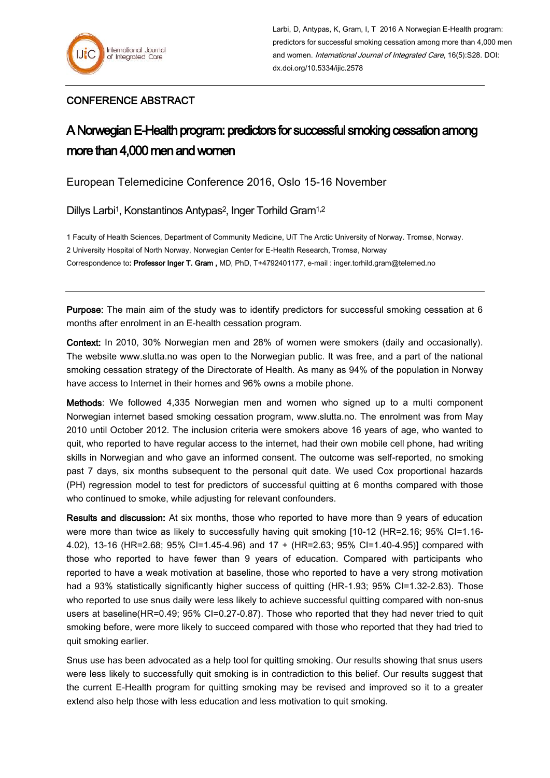## CONFERENCE ABSTRACT

## A Norwegian E-Health program: predictors for successful smoking cessation among more than 4,000 men and women

European Telemedicine Conference 2016, Oslo 15-16 November

Dillys Larbi<sup>1</sup>, Konstantinos Antypas<sup>2</sup>, Inger Torhild Gram<sup>1,2</sup>

1 Faculty of Health Sciences, Department of Community Medicine, UiT The Arctic University of Norway. Tromsø, Norway. 2 University Hospital of North Norway, Norwegian Center for E-Health Research, Tromsø, Norway Correspondence to: Professor Inger T. Gram , MD, PhD, T+4792401177, e-mail : inger.torhild.gram@telemed.no

Purpose: The main aim of the study was to identify predictors for successful smoking cessation at 6 months after enrolment in an E-health cessation program.

Context: In 2010, 30% Norwegian men and 28% of women were smokers (daily and occasionally). The website www.slutta.no was open to the Norwegian public. It was free, and a part of the national smoking cessation strategy of the Directorate of Health. As many as 94% of the population in Norway have access to Internet in their homes and 96% owns a mobile phone.

Methods: We followed 4,335 Norwegian men and women who signed up to a multi component Norwegian internet based smoking cessation program, www.slutta.no. The enrolment was from May 2010 until October 2012. The inclusion criteria were smokers above 16 years of age, who wanted to quit, who reported to have regular access to the internet, had their own mobile cell phone, had writing skills in Norwegian and who gave an informed consent. The outcome was self-reported, no smoking past 7 days, six months subsequent to the personal quit date. We used Cox proportional hazards (PH) regression model to test for predictors of successful quitting at 6 months compared with those who continued to smoke, while adjusting for relevant confounders.

Results and discussion: At six months, those who reported to have more than 9 years of education were more than twice as likely to successfully having quit smoking [10-12 (HR=2.16; 95% CI=1.16-4.02), 13-16 (HR=2.68; 95% CI=1.45-4.96) and 17 + (HR=2.63; 95% CI=1.40-4.95)] compared with those who reported to have fewer than 9 years of education. Compared with participants who reported to have a weak motivation at baseline, those who reported to have a very strong motivation had a 93% statistically significantly higher success of quitting (HR-1.93; 95% CI=1.32-2.83). Those who reported to use snus daily were less likely to achieve successful quitting compared with non-snus users at baseline(HR=0.49; 95% CI=0.27-0.87). Those who reported that they had never tried to quit smoking before, were more likely to succeed compared with those who reported that they had tried to quit smoking earlier.

Snus use has been advocated as a help tool for quitting smoking. Our results showing that snus users were less likely to successfully quit smoking is in contradiction to this belief. Our results suggest that the current E-Health program for quitting smoking may be revised and improved so it to a greater extend also help those with less education and less motivation to quit smoking.